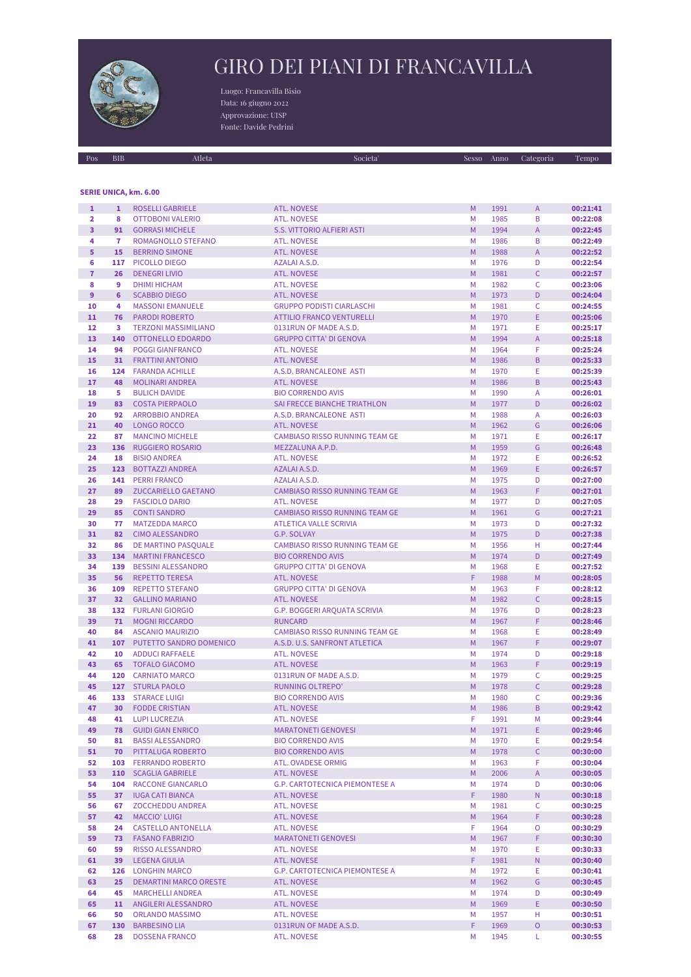

## GIRO DEI PIANI DI FRANCAVILLA

Luogo: Francavilla Bisio Data: 16 giugno 2022 Approvazione: UISP Fonte: Davide Pedrini

| Pos                          | <b>BIB</b> | Atleta                  | Societa'    |   | Sesso Anno | Categoria | Tempo    |  |  |
|------------------------------|------------|-------------------------|-------------|---|------------|-----------|----------|--|--|
|                              |            |                         |             |   |            |           |          |  |  |
| <b>SERIE UNICA, km. 6.00</b> |            |                         |             |   |            |           |          |  |  |
|                              | т.         | <b>ROSELLI GABRIELE</b> | ATL. NOVESE | M | 1991       | A         | 00:21:41 |  |  |

| $\overline{\mathbf{2}}$ | 8               | <b>OTTOBONI VALERIO</b>       | <b>ATL. NOVESE</b>                    | M | 1985 | B              | 00:22:08 |
|-------------------------|-----------------|-------------------------------|---------------------------------------|---|------|----------------|----------|
| 3                       | 91              | <b>GORRASI MICHELE</b>        | <b>S.S. VITTORIO ALFIERI ASTI</b>     | M | 1994 | $\overline{A}$ | 00:22:45 |
| 4                       | $\mathbf{7}$    | ROMAGNOLLO STEFANO            | <b>ATL. NOVESE</b>                    | M | 1986 | B              | 00:22:49 |
| 5                       | 15              | <b>BERRINO SIMONE</b>         | <b>ATL. NOVESE</b>                    | M | 1988 | $\overline{A}$ | 00:22:52 |
| 6                       | 117             | PICOLLO DIEGO                 | AZALAI A.S.D.                         | M | 1976 | D              | 00:22:54 |
| $\overline{7}$          | 26              | <b>DENEGRI LIVIO</b>          | <b>ATL. NOVESE</b>                    | M | 1981 | $\mathsf{C}$   | 00:22:57 |
| 8                       | 9               | <b>DHIMI HICHAM</b>           | <b>ATL. NOVESE</b>                    | M | 1982 | C              | 00:23:06 |
| 9                       | 6               | <b>SCABBIO DIEGO</b>          | <b>ATL. NOVESE</b>                    | M | 1973 | D              | 00:24:04 |
| 10                      | 4               | <b>MASSONI EMANUELE</b>       | <b>GRUPPO PODISTI CIARLASCHI</b>      | M | 1981 | C              | 00:24:55 |
| 11                      | 76              | <b>PARODI ROBERTO</b>         | <b>ATTILIO FRANCO VENTURELLI</b>      | M | 1970 | E              | 00:25:06 |
| 12                      | 3               | <b>TERZONI MASSIMILIANO</b>   | 0131RUN OF MADE A.S.D.                | M | 1971 | Е              | 00:25:17 |
| 13                      | 140             | OTTONELLO EDOARDO             | <b>GRUPPO CITTA' DI GENOVA</b>        | M | 1994 | $\overline{A}$ | 00:25:18 |
| 14                      | 94              | <b>POGGI GIANFRANCO</b>       | <b>ATL. NOVESE</b>                    | M | 1964 | F              | 00:25:24 |
| 15                      | 31              | <b>FRATTINI ANTONIO</b>       | <b>ATL. NOVESE</b>                    | M | 1986 | $\sf{B}$       | 00:25:33 |
| 16                      | 124             | <b>FARANDA ACHILLE</b>        | A.S.D. BRANCALEONE ASTI               | M | 1970 | Е              | 00:25:39 |
| 17                      | 48              | <b>MOLINARI ANDREA</b>        | <b>ATL. NOVESE</b>                    | M | 1986 | $\sf B$        | 00:25:43 |
| 18                      | 5               | <b>BULICH DAVIDE</b>          | <b>BIO CORRENDO AVIS</b>              | M | 1990 | A              | 00:26:01 |
| 19                      | 83              | <b>COSTA PIERPAOLO</b>        | SAI FRECCE BIANCHE TRIATHLON          | M | 1977 | D              | 00:26:02 |
| 20                      | 92              | <b>ARROBBIO ANDREA</b>        | A.S.D. BRANCALEONE ASTI               | M | 1988 | A              | 00:26:03 |
| 21                      | 40              | <b>LONGO ROCCO</b>            | <b>ATL. NOVESE</b>                    | M | 1962 | G              | 00:26:06 |
| 22                      | 87              | <b>MANCINO MICHELE</b>        | <b>CAMBIASO RISSO RUNNING TEAM GE</b> | M | 1971 | E              | 00:26:17 |
| 23                      | 136             | <b>RUGGIERO ROSARIO</b>       | MEZZALUNA A.P.D.                      | M | 1959 | G              | 00:26:48 |
| 24                      | 18              | <b>BISIO ANDREA</b>           | <b>ATL. NOVESE</b>                    | M | 1972 | E              | 00:26:52 |
| 25                      | 123             | <b>BOTTAZZI ANDREA</b>        | AZALAI A.S.D.                         | M | 1969 | E              | 00:26:57 |
| 26                      | 141             | <b>PERRI FRANCO</b>           | AZALAI A.S.D.                         | M | 1975 | D              | 00:27:00 |
| 27                      | 89              | <b>ZUCCARIELLO GAETANO</b>    | <b>CAMBIASO RISSO RUNNING TEAM GE</b> | M | 1963 | F              | 00:27:01 |
| 28                      | 29              | <b>FASCIOLO DARIO</b>         | <b>ATL. NOVESE</b>                    | M | 1977 | D              | 00:27:05 |
| 29                      | 85              | <b>CONTI SANDRO</b>           | <b>CAMBIASO RISSO RUNNING TEAM GE</b> | M | 1961 | G              | 00:27:21 |
| 30                      | 77              | <b>MATZEDDA MARCO</b>         | <b>ATLETICA VALLE SCRIVIA</b>         | M | 1973 | D              | 00:27:32 |
| 31                      | 82              | <b>CIMO ALESSANDRO</b>        | G.P. SOLVAY                           | M | 1975 | D              | 00:27:38 |
| 32                      | 86              | DE MARTINO PASQUALE           | <b>CAMBIASO RISSO RUNNING TEAM GE</b> | M | 1956 | н              | 00:27:44 |
| 33                      | 134             | <b>MARTINI FRANCESCO</b>      | <b>BIO CORRENDO AVIS</b>              | M | 1974 | D              | 00:27:49 |
| 34                      | 139             | <b>BESSINI ALESSANDRO</b>     | <b>GRUPPO CITTA' DI GENOVA</b>        | M | 1968 | E              | 00:27:52 |
| 35                      | 56              | <b>REPETTO TERESA</b>         | <b>ATL. NOVESE</b>                    | F | 1988 | M              | 00:28:05 |
| 36                      | 109             | <b>REPETTO STEFANO</b>        | <b>GRUPPO CITTA' DI GENOVA</b>        | M | 1963 | F              | 00:28:12 |
| 37                      | 32              | <b>GALLINO MARIANO</b>        | <b>ATL. NOVESE</b>                    | M | 1982 | $\mathsf{C}$   | 00:28:15 |
| 38                      | 132             | <b>FURLANI GIORGIO</b>        | <b>G.P. BOGGERI ARQUATA SCRIVIA</b>   | M | 1976 | D              | 00:28:23 |
| 39                      | 71              | <b>MOGNI RICCARDO</b>         | <b>RUNCARD</b>                        | M | 1967 | F              | 00:28:46 |
| 40                      | 84              | <b>ASCANIO MAURIZIO</b>       | <b>CAMBIASO RISSO RUNNING TEAM GE</b> | M | 1968 | E              | 00:28:49 |
| 41                      | 107             | PUTETTO SANDRO DOMENICO       | A.S.D. U.S. SANFRONT ATLETICA         | M | 1967 | F              | 00:29:07 |
| 42                      | 10              | <b>ADDUCI RAFFAELE</b>        | <b>ATL. NOVESE</b>                    | M | 1974 | D              | 00:29:18 |
| 43                      | 65              | <b>TOFALO GIACOMO</b>         | <b>ATL. NOVESE</b>                    | M | 1963 | F              | 00:29:19 |
| 44                      | 120             | <b>CARNIATO MARCO</b>         | 0131RUN OF MADE A.S.D.                | M | 1979 | C              | 00:29:25 |
| 45                      | 127             | <b>STURLA PAOLO</b>           | <b>RUNNING OLTREPO'</b>               | M | 1978 | $\mathsf{C}$   | 00:29:28 |
| 46                      | 133             | <b>STARACE LUIGI</b>          | <b>BIO CORRENDO AVIS</b>              | M | 1980 | C              | 00:29:36 |
| 47                      | 30              | <b>FODDE CRISTIAN</b>         | <b>ATL. NOVESE</b>                    | M | 1986 | B              | 00:29:42 |
| 48                      | 41              | <b>LUPI LUCREZIA</b>          | ATL. NOVESE                           | F | 1991 | M              | 00:29:44 |
| 49                      | 78              | <b>GUIDI GIAN ENRICO</b>      | <b>MARATONETI GENOVESI</b>            | M | 1971 | E              | 00:29:46 |
| 50                      | 81              | <b>BASSI ALESSANDRO</b>       | <b>BIO CORRENDO AVIS</b>              | М | 1970 | E              | 00:29:54 |
| 51                      | 70              | PITTALUGA ROBERTO             | <b>BIO CORRENDO AVIS</b>              | M | 1978 | $\mathsf{C}$   | 00:30:00 |
| 52                      |                 | 103 FERRANDO ROBERTO          | ATL. OVADESE ORMIG                    | M | 1963 | F              | 00:30:04 |
| 53                      | 110             | <b>SCAGLIA GABRIELE</b>       | ATL. NOVESE                           | M | 2006 | $\mathsf{A}$   | 00:30:05 |
| 54                      | 104             | RACCONE GIANCARLO             | <b>G.P. CARTOTECNICA PIEMONTESE A</b> | M | 1974 | D              | 00:30:06 |
| 55                      | 37              | <b>IUGA CATI BIANCA</b>       | ATL. NOVESE                           | F | 1980 | $\mathsf{N}$   | 00:30:18 |
| 56                      | 67              | ZOCCHEDDU ANDREA              | ATL. NOVESE                           | M | 1981 | C              | 00:30:25 |
| 57                      | 42              | <b>MACCIO' LUIGI</b>          | ATL. NOVESE                           | M | 1964 | F              | 00:30:28 |
| 58                      | 24              | <b>CASTELLO ANTONELLA</b>     | ATL. NOVESE                           | F | 1964 | O              | 00:30:29 |
| 59                      | 73              | <b>FASANO FABRIZIO</b>        | <b>MARATONETI GENOVESI</b>            | M | 1967 | F.             | 00:30:30 |
| 60                      | 59              | RISSO ALESSANDRO              | <b>ATL. NOVESE</b>                    | M | 1970 | E.             | 00:30:33 |
| 61                      | 39              | <b>LEGENA GIULIA</b>          | ATL. NOVESE                           | F | 1981 | N              | 00:30:40 |
| 62                      | 126             | <b>LONGHIN MARCO</b>          | <b>G.P. CARTOTECNICA PIEMONTESE A</b> | M | 1972 | E.             | 00:30:41 |
| 63                      | 25 <sub>2</sub> | <b>DEMARTINI MARCO ORESTE</b> | ATL. NOVESE                           | M | 1962 | ${\mathsf G}$  | 00:30:45 |
| 64                      | 45              | <b>MARCHELLI ANDREA</b>       | ATL. NOVESE                           | М | 1974 | D              | 00:30:49 |
| 65                      | 11              | ANGILERI ALESSANDRO           | ATL. NOVESE                           | M | 1969 | E.             | 00:30:50 |
| 66                      | 50              | <b>ORLANDO MASSIMO</b>        | <b>ATL. NOVESE</b>                    | M | 1957 | н              | 00:30:51 |
| 67                      | 130             | <b>BARBESINO LIA</b>          | 0131RUN OF MADE A.S.D.                | F | 1969 | $\circ$        | 00:30:53 |
| 68                      | 28              | <b>DOSSENA FRANCO</b>         | ATL. NOVESE                           | M | 1945 | L              | 00:30:55 |